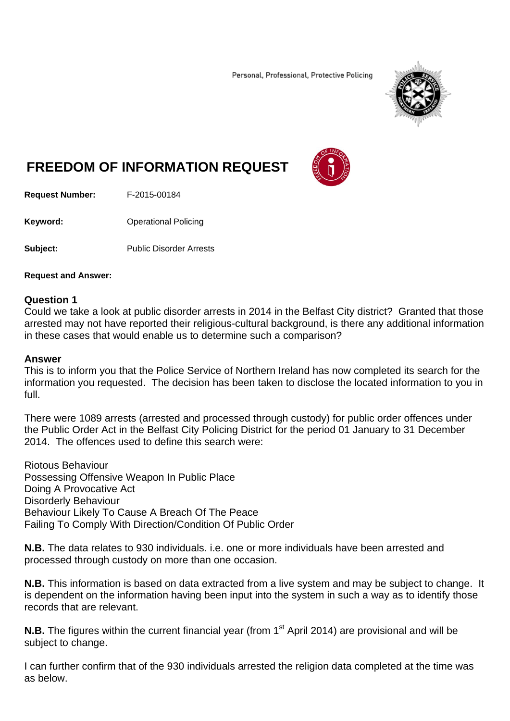Personal, Professional, Protective Policing



## **FREEDOM OF INFORMATION REQUEST**



**Request Number:** F-2015-00184

**Keyword: C**Derational Policing

**Subject:** Public Disorder Arrests

## **Request and Answer:**

## **Question 1**

Could we take a look at public disorder arrests in 2014 in the Belfast City district? Granted that those arrested may not have reported their religious-cultural background, is there any additional information in these cases that would enable us to determine such a comparison?

## **Answer**

This is to inform you that the Police Service of Northern Ireland has now completed its search for the information you requested. The decision has been taken to disclose the located information to you in full.

There were 1089 arrests (arrested and processed through custody) for public order offences under the Public Order Act in the Belfast City Policing District for the period 01 January to 31 December 2014. The offences used to define this search were:

Riotous Behaviour Possessing Offensive Weapon In Public Place Doing A Provocative Act Disorderly Behaviour Behaviour Likely To Cause A Breach Of The Peace Failing To Comply With Direction/Condition Of Public Order

**N.B.** The data relates to 930 individuals. i.e. one or more individuals have been arrested and processed through custody on more than one occasion.

**N.B.** This information is based on data extracted from a live system and may be subject to change. It is dependent on the information having been input into the system in such a way as to identify those records that are relevant.

**N.B.** The figures within the current financial year (from 1<sup>st</sup> April 2014) are provisional and will be subject to change.

I can further confirm that of the 930 individuals arrested the religion data completed at the time was as below.